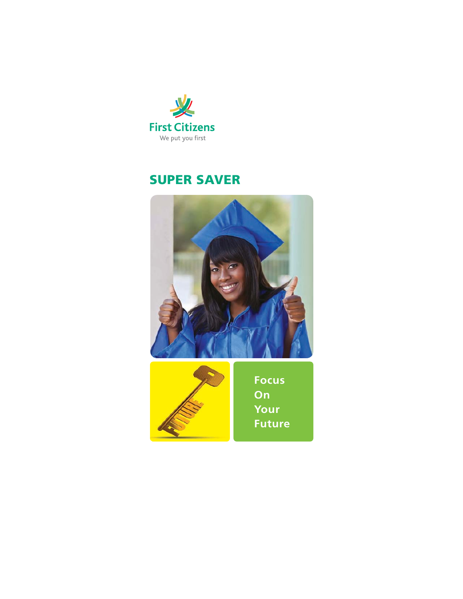

# **SUPER SAVER**

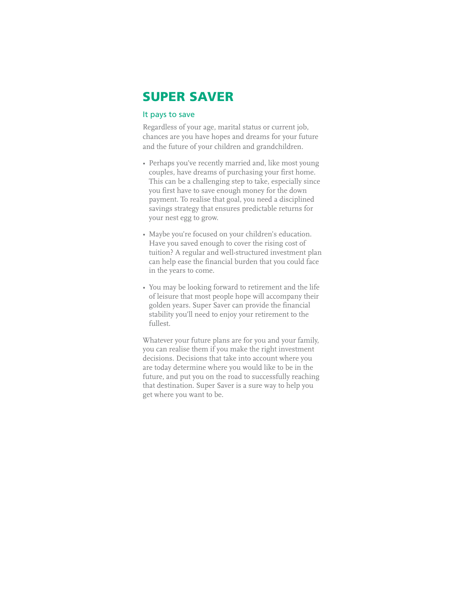## **SUPER SAVER**

#### It pays to save

Regardless of your age, marital status or current job, chances are you have hopes and dreams for your future and the future of your children and grandchildren.

- Perhaps you've recently married and, like most young couples, have dreams of purchasing your first home. This can be a challenging step to take, especially since you first have to save enough money for the down payment. To realise that goal, you need a disciplined savings strategy that ensures predictable returns for your nest egg to grow.
- Maybe you're focused on your children's education. Have you saved enough to cover the rising cost of tuition? A regular and well-structured investment plan can help ease the financial burden that you could face in the years to come.
- You may be looking forward to retirement and the life of leisure that most people hope will accompany their golden years. Super Saver can provide the financial stability you'll need to enjoy your retirement to the fullest.

Whatever your future plans are for you and your family, you can realise them if you make the right investment decisions. Decisions that take into account where you are today determine where you would like to be in the future, and put you on the road to successfully reaching that destination. Super Saver is a sure way to help you get where you want to be.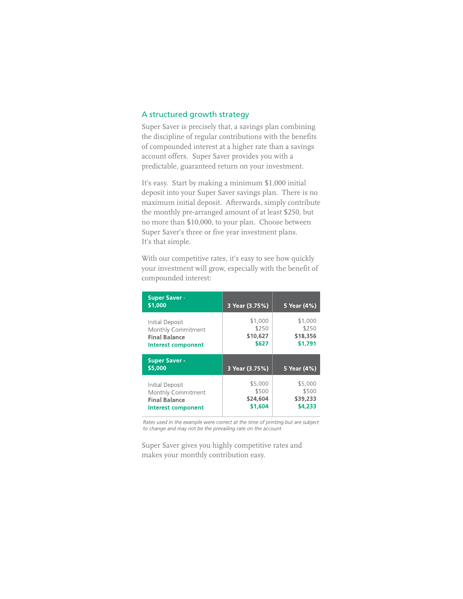### A structured growth strategy

Super Saver is precisely that, a savings plan combining the discipline of regular contributions with the benefits of compounded interest at a higher rate than a savings account offers. Super Saver provides you with a predictable, guaranteed return on your investment.

It's easy. Start by making a minimum \$1,000 initial deposit into your Super Saver savings plan. There is no maximum initial deposit. Afterwards, simply contribute the monthly pre-arranged amount of at least \$250, but no more than \$10,000, to your plan. Choose between Super Saver's three or five year investment plans. It's that simple.

With our competitive rates, it's easy to see how quickly your investment will grow, especially with the benefit of compounded interest:

| <b>Super Saver -</b><br>\$1,000                                                            | 3 Year (3.75%)                        | 5 Year (4%)                             |
|--------------------------------------------------------------------------------------------|---------------------------------------|-----------------------------------------|
| Initial Deposit<br>Monthly Commitment<br><b>Final Balance</b><br><b>Interest component</b> | \$1,000<br>\$250<br>\$10,627<br>\$627 | \$1,000<br>\$250<br>\$18,356<br>\$1,791 |
|                                                                                            |                                       |                                         |
| <b>Super Saver -</b><br>\$5,000                                                            | 3 Year (3.75%)                        | 5 Year (4%)                             |

Rates used in the example were correct at the time of printing but are subject to change and may not be the prevailing rate on the account

Super Saver gives you highly competitive rates and makes your monthly contribution easy.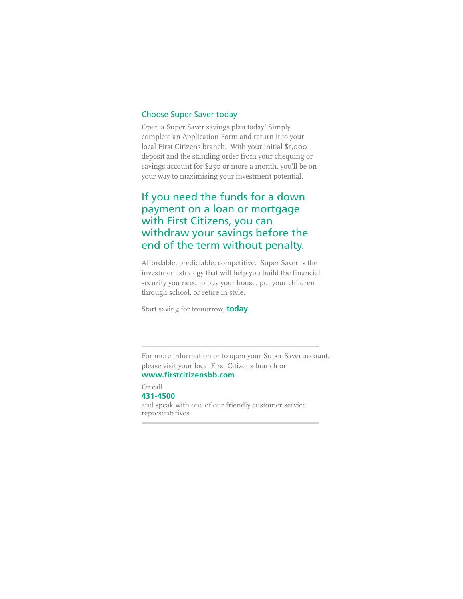### Choose Super Saver today

Open a Super Saver savings plan today! Simply complete an Application Form and return it to your local First Citizens branch. With your initial \$1,000 deposit and the standing order from your chequing or savings account for \$250 or more a month, you'll be on your way to maximising your investment potential.

### If you need the funds for a down payment on a loan or mortgage with First Citizens, you can withdraw your savings before the end of the term without penalty.

Affordable, predictable, competitive. Super Saver is the investment strategy that will help you build the financial security you need to buy your house, put your children through school, or retire in style.

Start saving for tomorrow, **today**.

For more information or to open your Super Saver account, please visit your local First Citizens branch or **www.firstcitizensbb.com**

Or call **431-4500** and speak with one of our friendly customer service representatives.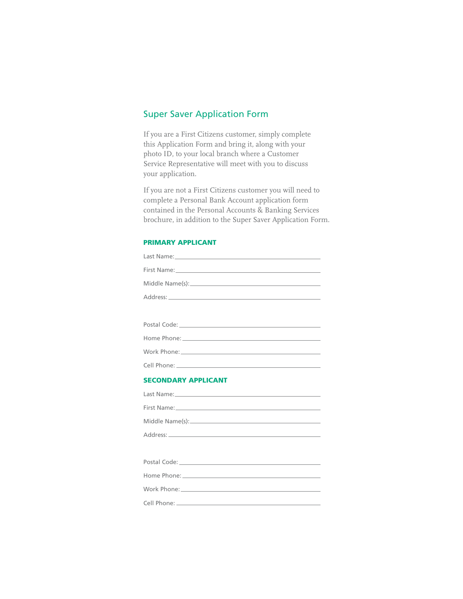### Super Saver Application Form

If you are a First Citizens customer, simply complete this Application Form and bring it, along with your photo ID, to your local branch where a Customer Service Representative will meet with you to discuss your application.

If you are not a First Citizens customer you will need to complete a Personal Bank Account application form contained in the Personal Accounts & Banking Services brochure, in addition to the Super Saver Application Form.

### **PRIMARY APPLICANT**

| <b>SECONDARY APPLICANT</b> |
|----------------------------|
|                            |
|                            |
|                            |
|                            |
|                            |
|                            |
|                            |
|                            |
|                            |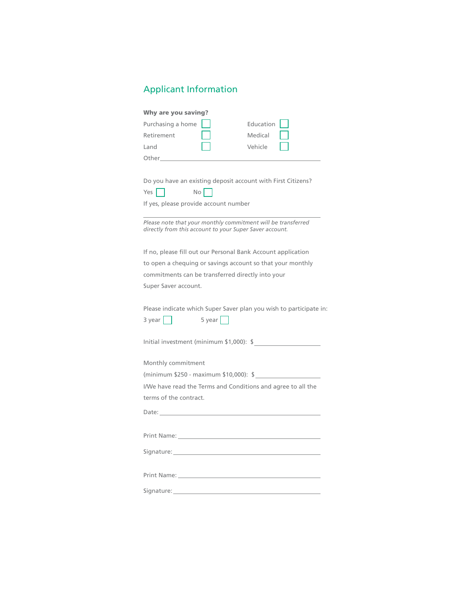## Applicant Information

| <b>Why are you saving?</b>                                                                                              |           |  |
|-------------------------------------------------------------------------------------------------------------------------|-----------|--|
| Purchasing a home                                                                                                       | Education |  |
| Retirement                                                                                                              | Medical   |  |
| Land                                                                                                                    | Vehicle   |  |
| Other the control of the control of the control of the control of the control of the control of the control of          |           |  |
|                                                                                                                         |           |  |
| Do you have an existing deposit account with First Citizens?                                                            |           |  |
| $No$    <br>Yes $\vert \ \vert$                                                                                         |           |  |
| If yes, please provide account number                                                                                   |           |  |
|                                                                                                                         |           |  |
| Please note that your monthly commitment will be transferred<br>directly from this account to your Super Saver account. |           |  |
|                                                                                                                         |           |  |
| If no, please fill out our Personal Bank Account application                                                            |           |  |
| to open a chequing or savings account so that your monthly                                                              |           |  |
| commitments can be transferred directly into your                                                                       |           |  |
| Super Saver account.                                                                                                    |           |  |
|                                                                                                                         |           |  |
| Please indicate which Super Saver plan you wish to participate in:                                                      |           |  |
| $5 \text{ year}$  <br>$3 \text{ year}$                                                                                  |           |  |
|                                                                                                                         |           |  |
| Initial investment (minimum \$1,000): \$                                                                                |           |  |
| Monthly commitment                                                                                                      |           |  |
| (minimum \$250 - maximum \$10,000): \$                                                                                  |           |  |
| I/We have read the Terms and Conditions and agree to all the                                                            |           |  |
| terms of the contract.                                                                                                  |           |  |
|                                                                                                                         |           |  |
|                                                                                                                         |           |  |
|                                                                                                                         |           |  |
|                                                                                                                         |           |  |
|                                                                                                                         |           |  |
|                                                                                                                         |           |  |
|                                                                                                                         |           |  |
|                                                                                                                         |           |  |
|                                                                                                                         |           |  |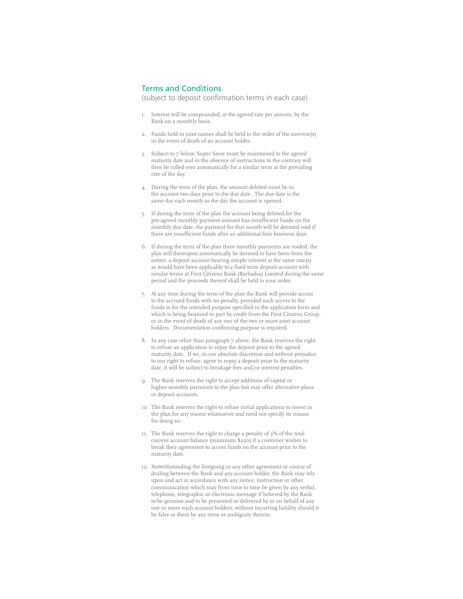### Terms and Conditions

(subject to deposit confirmation terms in each case)

- 1. Interest will be compounded, at the agreed rate per annum, by the Bank on a monthly basis.
- 2. Funds held in joint names shall be held to the order of the survivor(s) in the event of death of an account holder.
- 3. Subject to 7 below, Super Saver must be maintained to the agreed maturity date and in the absence of instructions to the contrary will then be rolled over automatically for a similar term at the prevailing rate of the day.
- 4. During the term of the plan, the amount debited must be in the account two days prior to the due date. The due date is the same day each month as the day the account is opened.
- 5. If during the term of the plan the account being debited for the pre-agreed monthly payment amount has insufficient funds on the monthly due date, the payment for that month will be deemed void if there are insufficient funds after an additional four business days.
- 6. If during the term of the plan three monthly payments are voided, the plan will thereupon automatically be deemed to have been from the outset, a deposit account bearing simple interest at the same rate(s) as would have been applicable to a fixed term deposit account with similar terms at First Citizens Bank (Barbados) Limited during the same period and the proceeds thereof shall be held to your order.
- 7. At any time during the term of the plan the Bank will provide access to the accrued funds with no penalty, provided such access to the funds is for the intended purpose specified in the application form and which is being financed in part by credit from the First Citizens Group, or in the event of death of any one of the two or more joint account holders. Documentation confirming purpose is required.
- 8. In any case other than paragraph 7 above, the Bank reserves the right to refuse an application to repay the deposit prior to the agreed maturity date. If we, in our absolute discretion and without prejudice to our right to refuse, agree to repay a deposit prior to the maturity date, it will be subject to breakage fees and/or interest penalties.
- 9. The Bank reserves the right to accept additions of capital or higher monthly payments to the plan but may offer alternative plans or deposit accounts.
- 10. The Bank reserves the right to refuse initial applications to invest in the plan for any reason whatsoever and need not specify its reason for doing so.
- 11. The Bank reserves the right to charge a penalty of 3% of the total current account balance (minimum \$250) if a customer wishes to break their agreement to access funds on the account prior to the maturity date.
- 12. Notwithstanding the foregoing or any other agreement or course of dealing between the Bank and any account holder, the Bank may rely upon and act in accordance with any notice, instruction or other communication which may from time to time be given by any verbal, telephone, telegraphic or electronic message if believed by the Bank to be genuine and to be presented or delivered by or on behalf of any one or more such account holders, without incurring liability should it be false or there be any error or ambiguity therein.